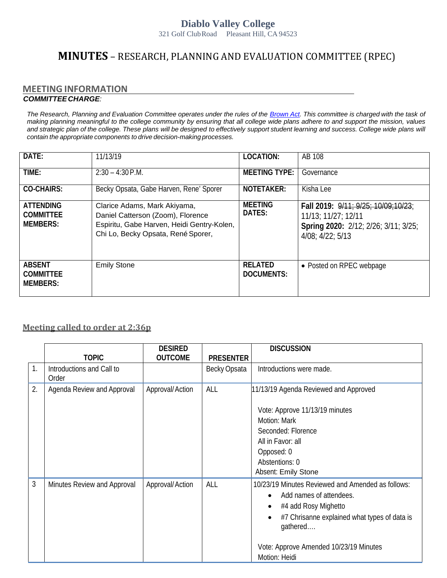## **Diablo Valley College**

321 Golf ClubRoad Pleasant Hill, CA 94523

## **MINUTES** – RESEARCH, PLANNING AND EVALUATION COMMITTEE (RPEC)

## **MEETING INFORMATION**  *COMMITTEECHARGE:*

The Research, Planning and Evaluation Committee operates under the rules of the [Brown](http://ag.ca.gov/publications/2003_Intro_BrownAct.pdf) [Act.](http://ag.ca.gov/publications/2003_Intro_BrownAct.pdf) [Th](http://ag.ca.gov/publications/2003_Intro_BrownAct.pdf)is committee is charged with the task of *making planning meaningful to the college community by ensuring that all college wide plans adhere to and support the mission, values*  and strategic plan of the college. These plans will be designed to effectively support student learning and success. College wide plans will *contain the appropriate components to drive decision-making processes.*

| DATE:                                                   | 11/13/19                                                                                                                                              | <b>LOCATION:</b>             | AB 108                                                                                                                                 |
|---------------------------------------------------------|-------------------------------------------------------------------------------------------------------------------------------------------------------|------------------------------|----------------------------------------------------------------------------------------------------------------------------------------|
| TIME:                                                   | $2:30 - 4:30$ P.M.                                                                                                                                    | <b>MEETING TYPE:</b>         | Governance                                                                                                                             |
| <b>CO-CHAIRS:</b>                                       | Becky Opsata, Gabe Harven, Rene' Sporer                                                                                                               | NOTETAKER:                   | Kisha Lee                                                                                                                              |
| <b>ATTENDING</b><br><b>COMMITTEE</b><br><b>MEMBERS:</b> | Clarice Adams, Mark Akiyama,<br>Daniel Catterson (Zoom), Florence<br>Espiritu, Gabe Harven, Heidi Gentry-Kolen,<br>Chi Lo, Becky Opsata, René Sporer, | <b>MEETING</b><br>DATES:     | Fall 2019: 9/11: 9/25: 10/09:10/23:<br>$11/13$ ; $11/27$ ; $12/11$<br>Spring 2020: 2/12; 2/26; 3/11; 3/25;<br>$4/08$ ; $4/22$ ; $5/13$ |
| <b>ABSENT</b><br><b>COMMITTEE</b><br><b>MEMBERS:</b>    | <b>Emily Stone</b>                                                                                                                                    | <b>RELATED</b><br>DOCUMENTS: | • Posted on RPEC webpage                                                                                                               |

## **Meeting called to order at 2:36p**

|    |                                    | <b>DESIRED</b>  |                  | <b>DISCUSSION</b>                                                                                                                                    |
|----|------------------------------------|-----------------|------------------|------------------------------------------------------------------------------------------------------------------------------------------------------|
|    | <b>TOPIC</b>                       | <b>OUTCOME</b>  | <b>PRESENTER</b> |                                                                                                                                                      |
| 1. | Introductions and Call to<br>Order |                 | Becky Opsata     | Introductions were made.                                                                                                                             |
| 2. | Agenda Review and Approval         | Approval/Action | ALL              | 11/13/19 Agenda Reviewed and Approved                                                                                                                |
|    |                                    |                 |                  | Vote: Approve 11/13/19 minutes                                                                                                                       |
|    |                                    |                 |                  | Motion: Mark                                                                                                                                         |
|    |                                    |                 |                  | Seconded: Florence                                                                                                                                   |
|    |                                    |                 |                  | All in Favor: all                                                                                                                                    |
|    |                                    |                 |                  | Opposed: 0                                                                                                                                           |
|    |                                    |                 |                  | Abstentions: 0                                                                                                                                       |
|    |                                    |                 |                  | Absent: Emily Stone                                                                                                                                  |
| 3  | Minutes Review and Approval        | Approval/Action | ALL              | 10/23/19 Minutes Reviewed and Amended as follows:<br>Add names of attendees.<br>#4 add Rosy Mighetto<br>#7 Chrisanne explained what types of data is |
|    |                                    |                 |                  | gathered<br>Vote: Approve Amended 10/23/19 Minutes<br>Motion: Heidi                                                                                  |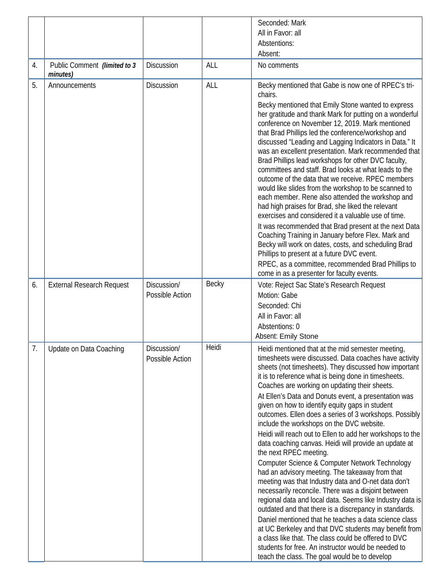|                  |                                          |                                |            | Seconded: Mark                                                                                                                                                                                                                                                                                                                                                                                                                                                                                                                                                                                                                                                                                                                                                                                                                                                                                                                                                                                                                                                                                                                                                                                                                                                             |
|------------------|------------------------------------------|--------------------------------|------------|----------------------------------------------------------------------------------------------------------------------------------------------------------------------------------------------------------------------------------------------------------------------------------------------------------------------------------------------------------------------------------------------------------------------------------------------------------------------------------------------------------------------------------------------------------------------------------------------------------------------------------------------------------------------------------------------------------------------------------------------------------------------------------------------------------------------------------------------------------------------------------------------------------------------------------------------------------------------------------------------------------------------------------------------------------------------------------------------------------------------------------------------------------------------------------------------------------------------------------------------------------------------------|
|                  |                                          |                                |            | All in Favor: all                                                                                                                                                                                                                                                                                                                                                                                                                                                                                                                                                                                                                                                                                                                                                                                                                                                                                                                                                                                                                                                                                                                                                                                                                                                          |
|                  |                                          |                                |            | Abstentions:                                                                                                                                                                                                                                                                                                                                                                                                                                                                                                                                                                                                                                                                                                                                                                                                                                                                                                                                                                                                                                                                                                                                                                                                                                                               |
|                  |                                          |                                |            | Absent:                                                                                                                                                                                                                                                                                                                                                                                                                                                                                                                                                                                                                                                                                                                                                                                                                                                                                                                                                                                                                                                                                                                                                                                                                                                                    |
|                  |                                          |                                |            |                                                                                                                                                                                                                                                                                                                                                                                                                                                                                                                                                                                                                                                                                                                                                                                                                                                                                                                                                                                                                                                                                                                                                                                                                                                                            |
| $\overline{4}$ . | Public Comment (limited to 3<br>minutes) | Discussion                     | ALL        | No comments                                                                                                                                                                                                                                                                                                                                                                                                                                                                                                                                                                                                                                                                                                                                                                                                                                                                                                                                                                                                                                                                                                                                                                                                                                                                |
| 5.               | Announcements                            | <b>Discussion</b>              | <b>ALL</b> | Becky mentioned that Gabe is now one of RPEC's tri-<br>chairs.                                                                                                                                                                                                                                                                                                                                                                                                                                                                                                                                                                                                                                                                                                                                                                                                                                                                                                                                                                                                                                                                                                                                                                                                             |
|                  |                                          |                                |            | Becky mentioned that Emily Stone wanted to express<br>her gratitude and thank Mark for putting on a wonderful<br>conference on November 12, 2019. Mark mentioned<br>that Brad Phillips led the conference/workshop and<br>discussed "Leading and Lagging Indicators in Data." It<br>was an excellent presentation. Mark recommended that<br>Brad Phillips lead workshops for other DVC faculty,<br>committees and staff. Brad looks at what leads to the<br>outcome of the data that we receive. RPEC members<br>would like slides from the workshop to be scanned to<br>each member. Rene also attended the workshop and<br>had high praises for Brad, she liked the relevant<br>exercises and considered it a valuable use of time.<br>It was recommended that Brad present at the next Data<br>Coaching Training in January before Flex. Mark and<br>Becky will work on dates, costs, and scheduling Brad<br>Phillips to present at a future DVC event.<br>RPEC, as a committee, recommended Brad Phillips to                                                                                                                                                                                                                                                           |
|                  |                                          |                                |            | come in as a presenter for faculty events.                                                                                                                                                                                                                                                                                                                                                                                                                                                                                                                                                                                                                                                                                                                                                                                                                                                                                                                                                                                                                                                                                                                                                                                                                                 |
| 6.               | <b>External Research Request</b>         | Discussion/<br>Possible Action | Becky      | Vote: Reject Sac State's Research Request<br>Motion: Gabe<br>Seconded: Chi<br>All in Favor: all<br>Abstentions: 0<br>Absent: Emily Stone                                                                                                                                                                                                                                                                                                                                                                                                                                                                                                                                                                                                                                                                                                                                                                                                                                                                                                                                                                                                                                                                                                                                   |
| 7.               | Update on Data Coaching                  | Discussion/<br>Possible Action | Heidi      | Heidi mentioned that at the mid semester meeting,<br>timesheets were discussed. Data coaches have activity<br>sheets (not timesheets). They discussed how important<br>it is to reference what is being done in timesheets.<br>Coaches are working on updating their sheets.<br>At Ellen's Data and Donuts event, a presentation was<br>given on how to identify equity gaps in student<br>outcomes. Ellen does a series of 3 workshops. Possibly<br>include the workshops on the DVC website.<br>Heidi will reach out to Ellen to add her workshops to the<br>data coaching canvas. Heidi will provide an update at<br>the next RPEC meeting.<br>Computer Science & Computer Network Technology<br>had an advisory meeting. The takeaway from that<br>meeting was that Industry data and O-net data don't<br>necessarily reconcile. There was a disjoint between<br>regional data and local data. Seems like Industry data is<br>outdated and that there is a discrepancy in standards.<br>Daniel mentioned that he teaches a data science class<br>at UC Berkeley and that DVC students may benefit from<br>a class like that. The class could be offered to DVC<br>students for free. An instructor would be needed to<br>teach the class. The goal would be to develop |